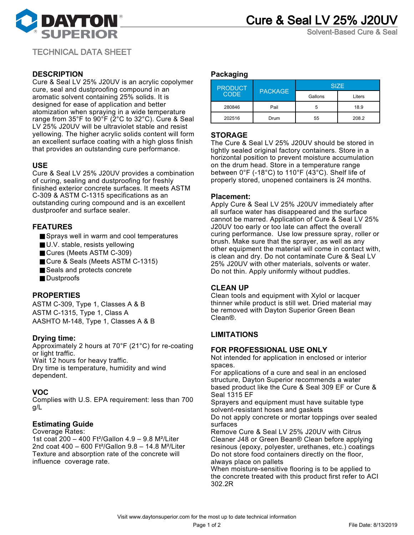

Solvent-Based Cure & Seal

TECHNICAL DATA SHEET

# **DESCRIPTION**

Cure & Seal LV 25% J20UV is an acrylic copolymer cure, seal and dustproofing compound in an aromatic solvent containing 25% solids. It is designed for ease of application and better atomization when spraying in a wide temperature range from 35°F to 90°F (2°C to 32°C). Cure & Seal LV 25% J20UV will be ultraviolet stable and resist yellowing. The higher acrylic solids content will form an excellent surface coating with a high gloss finish that provides an outstanding cure performance.

# **USE**

Cure & Seal LV 25% J20UV provides a combination of curing, sealing and dustproofing for freshly finished exterior concrete surfaces. It meets ASTM C-309 & ASTM C-1315 specifications as an outstanding curing compound and is an excellent dustproofer and surface sealer.

# **FEATURES**

- Sprays well in warm and cool temperatures
- U.V. stable, resists yellowing
- Cures (Meets ASTM C-309)
- Cure & Seals (Meets ASTM C-1315)
- Seals and protects concrete
- Dustproofs

# **PROPERTIES**

ASTM C-309, Type 1, Classes A & B ASTM C-1315, Type 1, Class A AASHTO M-148, Type 1, Classes A & B

# **Drying time:**

Approximately 2 hours at 70°F (21°C) for re-coating or light traffic. Wait 12 hours for heavy traffic. Dry time is temperature, humidity and wind dependent.

# **VOC**

Complies with U.S. EPA requirement: less than 700 g/L

# **Estimating Guide**

Coverage Rates: 1st coat 200 – 400 Ft²/Gallon 4.9 – 9.8 M²/Liter 2nd coat 400 – 600 Ft²/Gallon 9.8 – 14.8 M²/Liter Texture and absorption rate of the concrete will influence coverage rate.

### **Packaging**

| <b>PRODUCT</b><br><b>CODE</b> | <b>PACKAGE</b> | <b>SIZE</b> |        |
|-------------------------------|----------------|-------------|--------|
|                               |                | Gallons     | Liters |
| 280846                        | Pail           | 5           | 18.9   |
| 202516                        | Drum           | 55          | 208.2  |

# **STORAGE**

The Cure & Seal LV 25% J20UV should be stored in tightly sealed original factory containers. Store in a horizontal position to prevent moisture accumulation on the drum head. Store in a temperature range between 0°F (-18°C) to 110°F (43°C). Shelf life of properly stored, unopened containers is 24 months.

### **Placement:**

Apply Cure & Seal LV 25% J20UV immediately after all surface water has disappeared and the surface cannot be marred. Application of Cure & Seal LV 25% J20UV too early or too late can affect the overall curing performance. Use low pressure spray, roller or brush. Make sure that the sprayer, as well as any other equipment the material will come in contact with, is clean and dry. Do not contaminate Cure & Seal LV 25% J20UV with other materials, solvents or water. Do not thin. Apply uniformly without puddles.

### **CLEAN UP**

Clean tools and equipment with Xylol or lacquer thinner while product is still wet. Dried material may be removed with Dayton Superior Green Bean Clean®.

# **LIMITATIONS**

### **FOR PROFESSIONAL USE ONLY**

Not intended for application in enclosed or interior spaces.

For applications of a cure and seal in an enclosed structure, Dayton Superior recommends a water based product like the Cure & Seal 309 EF or Cure & Seal 1315 EF

Sprayers and equipment must have suitable type solvent-resistant hoses and gaskets

Do not apply concrete or mortar toppings over sealed surfaces

Remove Cure & Seal LV 25% J20UV with Citrus Cleaner J48 or Green Bean® Clean before applying resinous (epoxy, polyester, urethanes, etc.) coatings Do not store food containers directly on the floor, always place on pallets

When moisture-sensitive flooring is to be applied to the concrete treated with this product first refer to ACI 302.2R